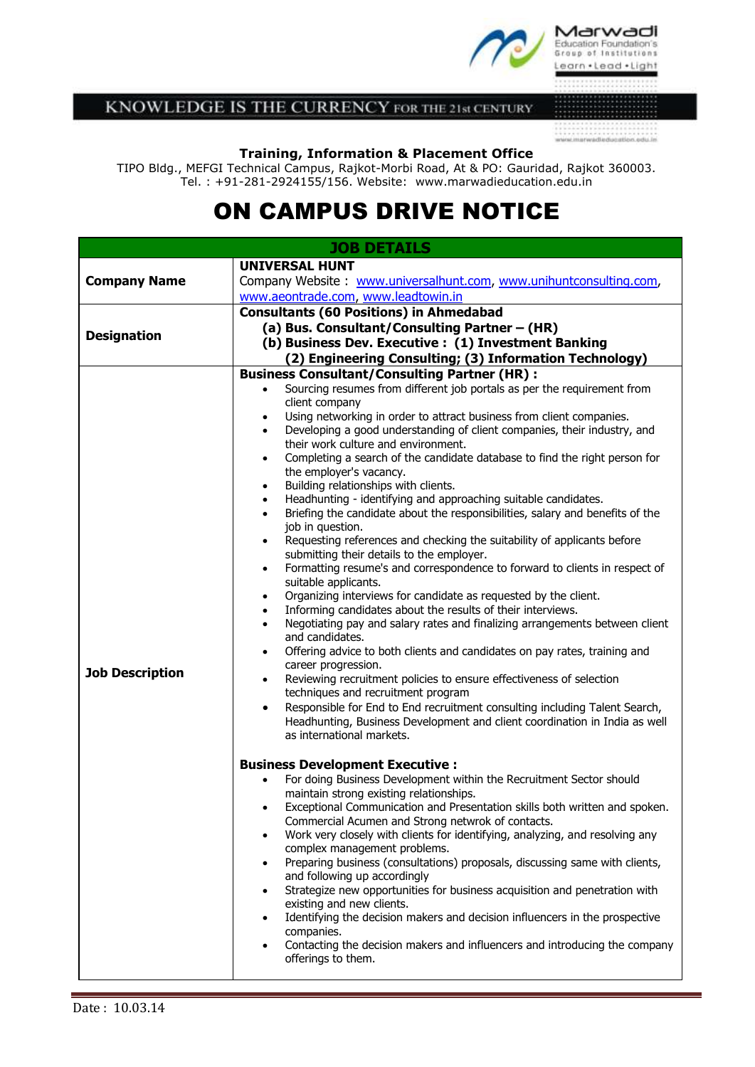

KNOWLEDGE IS THE CURRENCY FOR THE 21st CENTURY

 $\begin{minipage}{.4\textwidth} \begin{tabular}{l} \hline \textbf{1} & \textbf{2} & \textbf{3} & \textbf{5} & \textbf{6} & \textbf{7} & \textbf{8} & \textbf{9} & \textbf{1} & \textbf{1} & \textbf{1} & \textbf{1} & \textbf{1} & \textbf{1} & \textbf{1} & \textbf{1} & \textbf{1} & \textbf{1} & \textbf{1} & \textbf{1} & \textbf{1} & \textbf{1} & \textbf{1} & \textbf{1} & \textbf{1} & \textbf{1} & \textbf{1} & \textbf{1} &$ 

## **Training, Information & Placement Office**

TIPO Bldg., MEFGI Technical Campus, Rajkot-Morbi Road, At & PO: Gauridad, Rajkot 360003. Tel. : +91-281-2924155/156. Website: www.marwadieducation.edu.in

# ON CAMPUS DRIVE NOTICE

| <b>UNIVERSAL HUNT</b><br><b>Company Name</b><br>Company Website: www.universalhunt.com, www.unihuntconsulting.com,<br>www.aeontrade.com, www.leadtowin.in<br><b>Consultants (60 Positions) in Ahmedabad</b><br>(a) Bus. Consultant/Consulting Partner - (HR)<br><b>Designation</b><br>(b) Business Dev. Executive: (1) Investment Banking<br>(2) Engineering Consulting; (3) Information Technology)<br><b>Business Consultant/Consulting Partner (HR):</b><br>Sourcing resumes from different job portals as per the requirement from<br>client company<br>Using networking in order to attract business from client companies.<br>$\bullet$<br>Developing a good understanding of client companies, their industry, and<br>$\bullet$<br>their work culture and environment.<br>Completing a search of the candidate database to find the right person for<br>$\bullet$<br>the employer's vacancy.<br>Building relationships with clients.<br>$\bullet$<br>Headhunting - identifying and approaching suitable candidates.<br>$\bullet$<br>Briefing the candidate about the responsibilities, salary and benefits of the<br>$\bullet$<br>job in question.<br>Requesting references and checking the suitability of applicants before<br>$\bullet$<br>submitting their details to the employer.<br>Formatting resume's and correspondence to forward to clients in respect of<br>$\bullet$<br>suitable applicants.<br>Organizing interviews for candidate as requested by the client.<br>$\bullet$<br>Informing candidates about the results of their interviews.<br>$\bullet$<br>Negotiating pay and salary rates and finalizing arrangements between client<br>$\bullet$<br>and candidates.<br>Offering advice to both clients and candidates on pay rates, training and<br>$\bullet$<br>career progression.<br><b>Job Description</b><br>Reviewing recruitment policies to ensure effectiveness of selection<br>$\bullet$<br>techniques and recruitment program<br>Responsible for End to End recruitment consulting including Talent Search,<br>$\bullet$<br>Headhunting, Business Development and client coordination in India as well<br>as international markets.<br><b>Business Development Executive:</b><br>For doing Business Development within the Recruitment Sector should<br>$\bullet$<br>maintain strong existing relationships.<br>Exceptional Communication and Presentation skills both written and spoken.<br>٠<br>Commercial Acumen and Strong netwrok of contacts.<br>Work very closely with clients for identifying, analyzing, and resolving any<br>$\bullet$<br>complex management problems.<br>Preparing business (consultations) proposals, discussing same with clients,<br>٠<br>and following up accordingly<br>Strategize new opportunities for business acquisition and penetration with<br>$\bullet$<br>existing and new clients.<br>Identifying the decision makers and decision influencers in the prospective<br>٠ | <b>JOB DETAILS</b> |            |  |
|-------------------------------------------------------------------------------------------------------------------------------------------------------------------------------------------------------------------------------------------------------------------------------------------------------------------------------------------------------------------------------------------------------------------------------------------------------------------------------------------------------------------------------------------------------------------------------------------------------------------------------------------------------------------------------------------------------------------------------------------------------------------------------------------------------------------------------------------------------------------------------------------------------------------------------------------------------------------------------------------------------------------------------------------------------------------------------------------------------------------------------------------------------------------------------------------------------------------------------------------------------------------------------------------------------------------------------------------------------------------------------------------------------------------------------------------------------------------------------------------------------------------------------------------------------------------------------------------------------------------------------------------------------------------------------------------------------------------------------------------------------------------------------------------------------------------------------------------------------------------------------------------------------------------------------------------------------------------------------------------------------------------------------------------------------------------------------------------------------------------------------------------------------------------------------------------------------------------------------------------------------------------------------------------------------------------------------------------------------------------------------------------------------------------------------------------------------------------------------------------------------------------------------------------------------------------------------------------------------------------------------------------------------------------------------------------------------------------------------------------------------------------------------------------------------------------------------------------------------------------------------------------------------------------------------------------------------|--------------------|------------|--|
|                                                                                                                                                                                                                                                                                                                                                                                                                                                                                                                                                                                                                                                                                                                                                                                                                                                                                                                                                                                                                                                                                                                                                                                                                                                                                                                                                                                                                                                                                                                                                                                                                                                                                                                                                                                                                                                                                                                                                                                                                                                                                                                                                                                                                                                                                                                                                                                                                                                                                                                                                                                                                                                                                                                                                                                                                                                                                                                                                       |                    |            |  |
|                                                                                                                                                                                                                                                                                                                                                                                                                                                                                                                                                                                                                                                                                                                                                                                                                                                                                                                                                                                                                                                                                                                                                                                                                                                                                                                                                                                                                                                                                                                                                                                                                                                                                                                                                                                                                                                                                                                                                                                                                                                                                                                                                                                                                                                                                                                                                                                                                                                                                                                                                                                                                                                                                                                                                                                                                                                                                                                                                       |                    |            |  |
|                                                                                                                                                                                                                                                                                                                                                                                                                                                                                                                                                                                                                                                                                                                                                                                                                                                                                                                                                                                                                                                                                                                                                                                                                                                                                                                                                                                                                                                                                                                                                                                                                                                                                                                                                                                                                                                                                                                                                                                                                                                                                                                                                                                                                                                                                                                                                                                                                                                                                                                                                                                                                                                                                                                                                                                                                                                                                                                                                       |                    |            |  |
|                                                                                                                                                                                                                                                                                                                                                                                                                                                                                                                                                                                                                                                                                                                                                                                                                                                                                                                                                                                                                                                                                                                                                                                                                                                                                                                                                                                                                                                                                                                                                                                                                                                                                                                                                                                                                                                                                                                                                                                                                                                                                                                                                                                                                                                                                                                                                                                                                                                                                                                                                                                                                                                                                                                                                                                                                                                                                                                                                       |                    |            |  |
|                                                                                                                                                                                                                                                                                                                                                                                                                                                                                                                                                                                                                                                                                                                                                                                                                                                                                                                                                                                                                                                                                                                                                                                                                                                                                                                                                                                                                                                                                                                                                                                                                                                                                                                                                                                                                                                                                                                                                                                                                                                                                                                                                                                                                                                                                                                                                                                                                                                                                                                                                                                                                                                                                                                                                                                                                                                                                                                                                       |                    |            |  |
|                                                                                                                                                                                                                                                                                                                                                                                                                                                                                                                                                                                                                                                                                                                                                                                                                                                                                                                                                                                                                                                                                                                                                                                                                                                                                                                                                                                                                                                                                                                                                                                                                                                                                                                                                                                                                                                                                                                                                                                                                                                                                                                                                                                                                                                                                                                                                                                                                                                                                                                                                                                                                                                                                                                                                                                                                                                                                                                                                       |                    |            |  |
|                                                                                                                                                                                                                                                                                                                                                                                                                                                                                                                                                                                                                                                                                                                                                                                                                                                                                                                                                                                                                                                                                                                                                                                                                                                                                                                                                                                                                                                                                                                                                                                                                                                                                                                                                                                                                                                                                                                                                                                                                                                                                                                                                                                                                                                                                                                                                                                                                                                                                                                                                                                                                                                                                                                                                                                                                                                                                                                                                       |                    |            |  |
| Contacting the decision makers and influencers and introducing the company<br>$\bullet$<br>offerings to them.                                                                                                                                                                                                                                                                                                                                                                                                                                                                                                                                                                                                                                                                                                                                                                                                                                                                                                                                                                                                                                                                                                                                                                                                                                                                                                                                                                                                                                                                                                                                                                                                                                                                                                                                                                                                                                                                                                                                                                                                                                                                                                                                                                                                                                                                                                                                                                                                                                                                                                                                                                                                                                                                                                                                                                                                                                         |                    | companies. |  |
|                                                                                                                                                                                                                                                                                                                                                                                                                                                                                                                                                                                                                                                                                                                                                                                                                                                                                                                                                                                                                                                                                                                                                                                                                                                                                                                                                                                                                                                                                                                                                                                                                                                                                                                                                                                                                                                                                                                                                                                                                                                                                                                                                                                                                                                                                                                                                                                                                                                                                                                                                                                                                                                                                                                                                                                                                                                                                                                                                       |                    |            |  |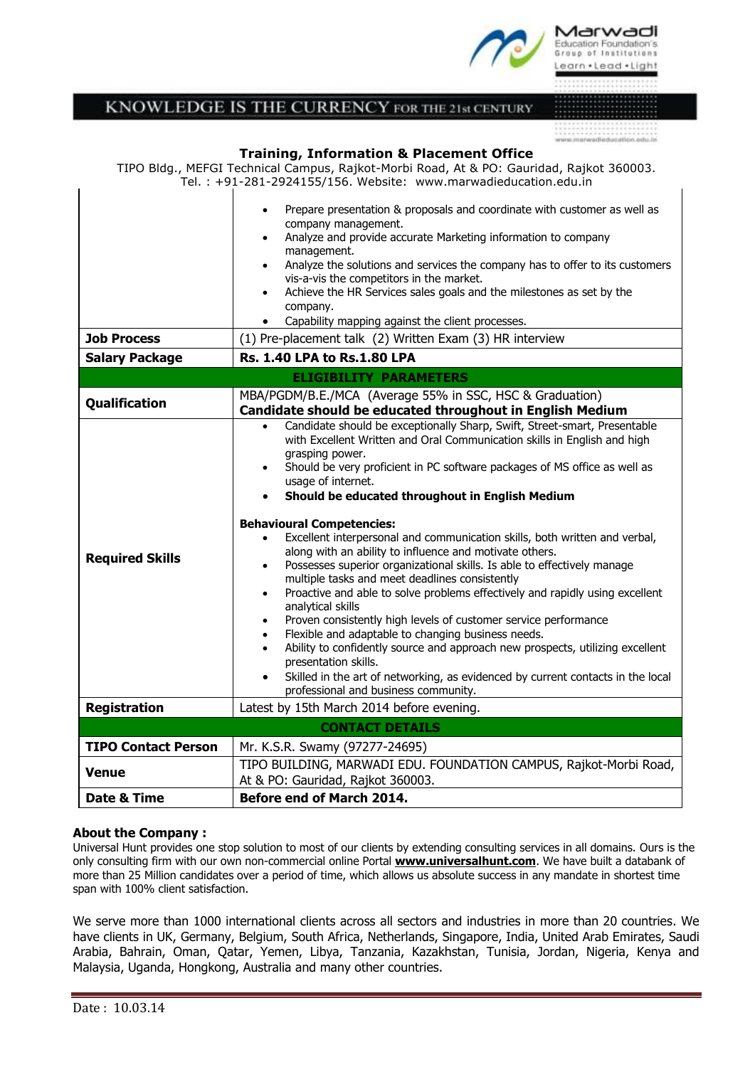

# **KNOWLEDGE IS THE CURRENCY FOR THE 21st CENTURY**

# 

 $\blacksquare$ 

#### **Training, Information & Placement Office**

TIPO Bldg., MEFGI Technical Campus, Rajkot-Morbi Road, At & PO: Gauridad, Rajkot 360003. Tel. : +91-281-2924155/156. Website: www.marwadieducation.edu.in

| <b>Job Process</b>         | Prepare presentation & proposals and coordinate with customer as well as<br>٠<br>company management.<br>Analyze and provide accurate Marketing information to company<br>$\bullet$<br>management.<br>Analyze the solutions and services the company has to offer to its customers<br>$\bullet$<br>vis-a-vis the competitors in the market.<br>Achieve the HR Services sales goals and the milestones as set by the<br>$\bullet$<br>company.<br>Capability mapping against the client processes.<br>$\bullet$<br>(1) Pre-placement talk (2) Written Exam (3) HR interview                                                                                                                                                                                                                                                                                                                                                                                                                                                                                                                                                                                                                                                             |
|----------------------------|--------------------------------------------------------------------------------------------------------------------------------------------------------------------------------------------------------------------------------------------------------------------------------------------------------------------------------------------------------------------------------------------------------------------------------------------------------------------------------------------------------------------------------------------------------------------------------------------------------------------------------------------------------------------------------------------------------------------------------------------------------------------------------------------------------------------------------------------------------------------------------------------------------------------------------------------------------------------------------------------------------------------------------------------------------------------------------------------------------------------------------------------------------------------------------------------------------------------------------------|
| <b>Salary Package</b>      | <b>Rs. 1.40 LPA to Rs. 1.80 LPA</b>                                                                                                                                                                                                                                                                                                                                                                                                                                                                                                                                                                                                                                                                                                                                                                                                                                                                                                                                                                                                                                                                                                                                                                                                  |
|                            | <b>ELIGIBILITY PARAMETERS</b>                                                                                                                                                                                                                                                                                                                                                                                                                                                                                                                                                                                                                                                                                                                                                                                                                                                                                                                                                                                                                                                                                                                                                                                                        |
| Qualification              | MBA/PGDM/B.E./MCA (Average 55% in SSC, HSC & Graduation)<br>Candidate should be educated throughout in English Medium                                                                                                                                                                                                                                                                                                                                                                                                                                                                                                                                                                                                                                                                                                                                                                                                                                                                                                                                                                                                                                                                                                                |
| <b>Required Skills</b>     | Candidate should be exceptionally Sharp, Swift, Street-smart, Presentable<br>$\bullet$<br>with Excellent Written and Oral Communication skills in English and high<br>grasping power.<br>Should be very proficient in PC software packages of MS office as well as<br>$\bullet$<br>usage of internet.<br>Should be educated throughout in English Medium<br>$\bullet$<br><b>Behavioural Competencies:</b><br>Excellent interpersonal and communication skills, both written and verbal,<br>$\bullet$<br>along with an ability to influence and motivate others.<br>Possesses superior organizational skills. Is able to effectively manage<br>٠<br>multiple tasks and meet deadlines consistently<br>Proactive and able to solve problems effectively and rapidly using excellent<br>$\bullet$<br>analytical skills<br>Proven consistently high levels of customer service performance<br>$\bullet$<br>Flexible and adaptable to changing business needs.<br>$\bullet$<br>Ability to confidently source and approach new prospects, utilizing excellent<br>$\bullet$<br>presentation skills.<br>Skilled in the art of networking, as evidenced by current contacts in the local<br>$\bullet$<br>professional and business community. |
| <b>Registration</b>        | Latest by 15th March 2014 before evening.                                                                                                                                                                                                                                                                                                                                                                                                                                                                                                                                                                                                                                                                                                                                                                                                                                                                                                                                                                                                                                                                                                                                                                                            |
|                            | <b>CONTACT DETAILS</b>                                                                                                                                                                                                                                                                                                                                                                                                                                                                                                                                                                                                                                                                                                                                                                                                                                                                                                                                                                                                                                                                                                                                                                                                               |
| <b>TIPO Contact Person</b> | Mr. K.S.R. Swamy (97277-24695)                                                                                                                                                                                                                                                                                                                                                                                                                                                                                                                                                                                                                                                                                                                                                                                                                                                                                                                                                                                                                                                                                                                                                                                                       |
| Venue                      | TIPO BUILDING, MARWADI EDU. FOUNDATION CAMPUS, Rajkot-Morbi Road,<br>At & PO: Gauridad, Rajkot 360003.                                                                                                                                                                                                                                                                                                                                                                                                                                                                                                                                                                                                                                                                                                                                                                                                                                                                                                                                                                                                                                                                                                                               |
| <b>Date &amp; Time</b>     | Before end of March 2014.                                                                                                                                                                                                                                                                                                                                                                                                                                                                                                                                                                                                                                                                                                                                                                                                                                                                                                                                                                                                                                                                                                                                                                                                            |

### **About the Company :**

 $\mathbf{I}$ 

Universal Hunt provides one stop solution to most of our clients by extending consulting services in all domains. Ours is the only consulting firm with our own non-commercial online Portal **[www.universalhunt.com](http://www.universalhunt.com/)**. We have built a databank of more than 25 Million candidates over a period of time, which allows us absolute success in any mandate in shortest time span with 100% client satisfaction.

We serve more than 1000 international clients across all sectors and industries in more than 20 countries. We have clients in UK, Germany, Belgium, South Africa, Netherlands, Singapore, India, United Arab Emirates, Saudi Arabia, Bahrain, Oman, Qatar, Yemen, Libya, Tanzania, Kazakhstan, Tunisia, Jordan, Nigeria, Kenya and Malaysia, Uganda, Hongkong, Australia and many other countries.